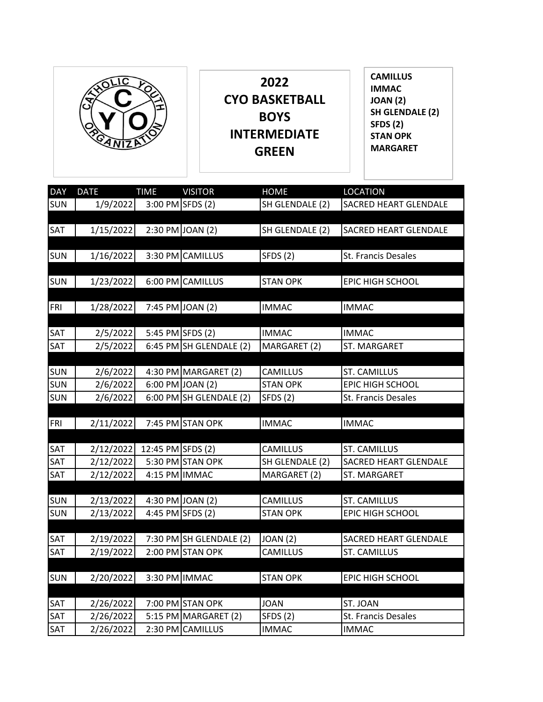

| <b>DAY</b> | <b>DATE</b>            | <b>TIME</b>       | <b>VISITOR</b>            | <b>HOME</b>                 | <b>LOCATION</b>                                     |
|------------|------------------------|-------------------|---------------------------|-----------------------------|-----------------------------------------------------|
| <b>SUN</b> | 1/9/2022               |                   | 3:00 PM SFDS (2)          | SH GLENDALE (2)             | SACRED HEART GLENDALE                               |
|            |                        |                   |                           |                             |                                                     |
| SAT        | 1/15/2022              |                   | 2:30 PM JOAN (2)          | SH GLENDALE (2)             | <b>SACRED HEART GLENDALE</b>                        |
|            |                        |                   |                           |                             |                                                     |
| <b>SUN</b> | 1/16/2022              |                   | 3:30 PM CAMILLUS          | <b>SFDS (2)</b>             | St. Francis Desales                                 |
|            |                        |                   |                           |                             |                                                     |
| SUN        | 1/23/2022              |                   | 6:00 PM CAMILLUS          | <b>STAN OPK</b>             | EPIC HIGH SCHOOL                                    |
|            |                        |                   |                           |                             |                                                     |
| FRI        | 1/28/2022              |                   | 7:45 PM JOAN (2)          | <b>IMMAC</b>                | <b>IMMAC</b>                                        |
|            |                        |                   |                           |                             |                                                     |
| SAT        | 2/5/2022               |                   | 5:45 PM SFDS (2)          | <b>IMMAC</b>                | <b>IMMAC</b>                                        |
| SAT        | 2/5/2022               |                   | 6:45 PM SH GLENDALE (2)   | MARGARET (2)                | ST. MARGARET                                        |
|            |                        |                   |                           |                             |                                                     |
| <b>SUN</b> | 2/6/2022               |                   | 4:30 PM MARGARET (2)      | <b>CAMILLUS</b>             | <b>ST. CAMILLUS</b>                                 |
| <b>SUN</b> | 2/6/2022               |                   | 6:00 PM JOAN (2)          | <b>STAN OPK</b>             | EPIC HIGH SCHOOL                                    |
| SUN        | 2/6/2022               |                   | $6:00$ PM SH GLENDALE (2) | <b>SFDS (2)</b>             | St. Francis Desales                                 |
|            |                        |                   |                           |                             |                                                     |
| <b>FRI</b> | 2/11/2022              |                   | 7:45 PM STAN OPK          | <b>IMMAC</b>                | <b>IMMAC</b>                                        |
|            |                        |                   |                           |                             |                                                     |
| SAT        | 2/12/2022<br>2/12/2022 | 12:45 PM SFDS (2) | 5:30 PM STAN OPK          | CAMILLUS<br>SH GLENDALE (2) | <b>ST. CAMILLUS</b><br><b>SACRED HEART GLENDALE</b> |
| SAT<br>SAT | 2/12/2022              | 4:15 PM IMMAC     |                           | MARGARET (2)                | ST. MARGARET                                        |
|            |                        |                   |                           |                             |                                                     |
| <b>SUN</b> | 2/13/2022              |                   | 4:30 PM JOAN (2)          | CAMILLUS                    | <b>ST. CAMILLUS</b>                                 |
| <b>SUN</b> | 2/13/2022              |                   | 4:45 PM SFDS (2)          | <b>STAN OPK</b>             | EPIC HIGH SCHOOL                                    |
|            |                        |                   |                           |                             |                                                     |
| SAT        | 2/19/2022              |                   | 7:30 PM SH GLENDALE (2)   | <b>JOAN (2)</b>             | <b>SACRED HEART GLENDALE</b>                        |
| SAT        | 2/19/2022              |                   | 2:00 PM STAN OPK          | CAMILLUS                    | <b>ST. CAMILLUS</b>                                 |
|            |                        |                   |                           |                             |                                                     |
| <b>SUN</b> | 2/20/2022              | 3:30 PM IMMAC     |                           | <b>STAN OPK</b>             | EPIC HIGH SCHOOL                                    |
|            |                        |                   |                           |                             |                                                     |
| SAT        | 2/26/2022              |                   | 7:00 PM STAN OPK          | <b>JOAN</b>                 | ST. JOAN                                            |
| SAT        | 2/26/2022              |                   | 5:15 PM MARGARET (2)      | <b>SFDS (2)</b>             | St. Francis Desales                                 |
| SAT        | 2/26/2022              |                   | 2:30 PM CAMILLUS          | <b>IMMAC</b>                | <b>IMMAC</b>                                        |